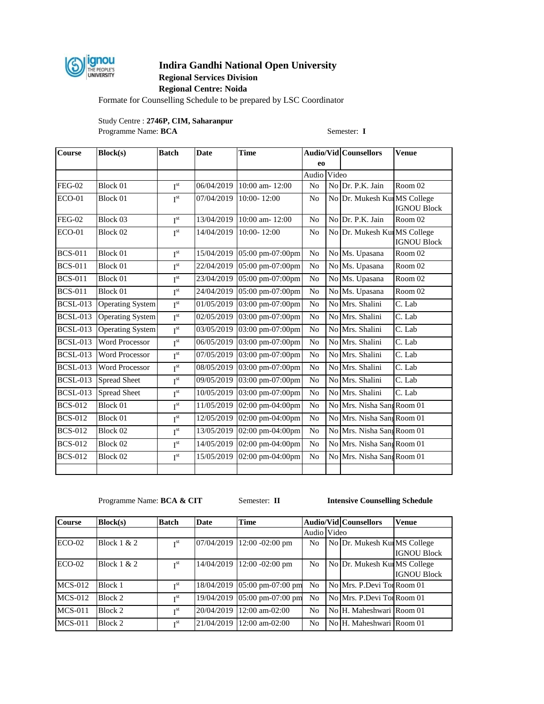

# **Indira Gandhi National Open University**

# **Regional Services Division**

**Regional Centre: Noida**

Formate for Counselling Schedule to be prepared by LSC Coordinator

Study Centre : **2746P, CIM, Saharanpur** Programme Name: **BCA** Semester: **I** 

| Course                        | <b>Block(s)</b>         | <b>Batch</b>    | <b>Date</b> | Time                      |                |       | <b>Audio/Vid Counsellors</b> | <b>Venue</b>       |
|-------------------------------|-------------------------|-----------------|-------------|---------------------------|----------------|-------|------------------------------|--------------------|
|                               |                         |                 |             |                           | eo             |       |                              |                    |
|                               |                         |                 |             |                           | Audio          | Video |                              |                    |
| <b>FEG-02</b>                 | Block 01                | I <sup>st</sup> |             | 06/04/2019 10:00 am-12:00 | N <sub>o</sub> |       | No Dr. P.K. Jain             | Room 02            |
| <b>ECO-01</b>                 | Block 01                | I <sup>st</sup> | 07/04/2019  | 10:00-12:00               | N <sub>o</sub> |       | No Dr. Mukesh Kui MS College | <b>IGNOU Block</b> |
| <b>FEG-02</b>                 | Block 03                | I <sup>st</sup> | 13/04/2019  | 10:00 am-12:00            | N <sub>o</sub> |       | No Dr. P.K. Jain             | Room 02            |
| <b>ECO-01</b>                 | Block 02                | I <sup>st</sup> | 14/04/2019  | 10:00-12:00               | N <sub>o</sub> |       | No Dr. Mukesh KurMS College  | <b>IGNOU Block</b> |
| <b>BCS-011</b>                | Block 01                | I <sup>st</sup> | 15/04/2019  | 05:00 pm-07:00pm          | N <sub>o</sub> |       | No Ms. Upasana               | Room 02            |
| <b>BCS-011</b>                | Block 01                | $I^{st}$        | 22/04/2019  | 05:00 pm-07:00pm          | N <sub>o</sub> |       | No Ms. Upasana               | Room 02            |
| <b>BCS-011</b>                | Block 01                | I <sup>st</sup> | 23/04/2019  | 05:00 pm-07:00pm          | N <sub>o</sub> | No    | Ms. Upasana                  | Room 02            |
| <b>BCS-011</b>                | Block 01                | $I^{st}$        | 24/04/2019  | 05:00 pm-07:00pm          | N <sub>o</sub> |       | No Ms. Upasana               | Room 02            |
| $\overline{\text{BCSL}}$ -013 | <b>Operating System</b> | I <sup>st</sup> | 01/05/2019  | 03:00 pm-07:00pm          | N <sub>o</sub> |       | No Mrs. Shalini              | $C.$ Lab           |
| <b>BCSL-013</b>               | <b>Operating System</b> | $I^{\text{st}}$ | 02/05/2019  | 03:00 pm-07:00pm          | No             |       | No Mrs. Shalini              | C. Lab             |
| <b>BCSL-013</b>               | <b>Operating System</b> | I <sup>st</sup> | 03/05/2019  | 03:00 pm-07:00pm          | N <sub>o</sub> |       | No Mrs. Shalini              | C. Lab             |
| <b>BCSL-013</b>               | <b>Word Processor</b>   | $I^{st}$        | 06/05/2019  | 03:00 pm-07:00pm          | No             |       | No Mrs. Shalini              | C. Lab             |
| <b>BCSL-013</b>               | <b>Word Processor</b>   | I <sup>st</sup> | 07/05/2019  | 03:00 pm-07:00pm          | N <sub>o</sub> |       | No Mrs. Shalini              | C. Lab             |
| <b>BCSL-013</b>               | <b>Word Processor</b>   | $I^{st}$        | 08/05/2019  | 03:00 pm-07:00pm          | No             |       | No Mrs. Shalini              | C. Lab             |
| <b>BCSL-013</b>               | <b>Spread Sheet</b>     | I <sup>st</sup> | 09/05/2019  | 03:00 pm-07:00pm          | No             |       | No Mrs. Shalini              | C. Lab             |
| <b>BCSL-013</b>               | <b>Spread Sheet</b>     | I <sup>st</sup> | 10/05/2019  | 03:00 pm-07:00pm          | No             |       | No Mrs. Shalini              | C. Lab             |
| $BCS-012$                     | Block 01                | $I^{st}$        | 11/05/2019  | 02:00 pm-04:00pm          | No             |       | No Mrs. Nisha Sang Room 01   |                    |
| <b>BCS-012</b>                | Block 01                | I <sup>st</sup> | 12/05/2019  | 02:00 pm-04:00pm          | No             |       | No Mrs. Nisha Sang Room 01   |                    |
| <b>BCS-012</b>                | Block 02                | $I^{\text{st}}$ | 13/05/2019  | 02:00 pm-04:00pm          | No             |       | No Mrs. Nisha Sang Room 01   |                    |
| <b>BCS-012</b>                | Block 02                | I <sup>st</sup> | 14/05/2019  | 02:00 pm-04:00pm          | N <sub>o</sub> |       | No Mrs. Nisha Sang Room 01   |                    |
| <b>BCS-012</b>                | Block 02                | I <sup>st</sup> | 15/05/2019  | 02:00 pm-04:00pm          | N <sub>o</sub> |       | No Mrs. Nisha Sang Room 01   |                    |
|                               |                         |                 |             |                           |                |       |                              |                    |

Programme Name: **BCA & CIT** Semester: **II Intensive Counselling Schedule** 

| <b>Course</b> | Block(s)      | <b>Batch</b>    | <b>Date</b> | <b>Time</b>                  |                | <b>Audio/Vid Counsellors</b> | <b>Venue</b>       |
|---------------|---------------|-----------------|-------------|------------------------------|----------------|------------------------------|--------------------|
|               |               |                 |             |                              | Audio Video    |                              |                    |
| $ECO-02$      | Block $1 & 2$ | $\mathbf{r}$ st | 07/04/2019  | $12:00 - 02:00$ pm           | N <sub>0</sub> | No Dr. Mukesh Kur MS College | <b>IGNOU Block</b> |
| $ECO-02$      | Block $1 & 2$ | $\mathbf{r}$ st | 14/04/2019  | $12:00 - 02:00$ pm           | N <sub>0</sub> | No Dr. Mukesh KurMS College  | <b>IGNOU Block</b> |
| $MCS-012$     | Block 1       | I <sup>st</sup> |             | 18/04/2019 05:00 pm-07:00 pm | N <sub>0</sub> | No Mrs. P.Devi Tor Room 01   |                    |
| $MCS-012$     | Block 2       | $\mathbf{r}$ st |             | 19/04/2019 05:00 pm-07:00 pm | N <sub>0</sub> | No Mrs. P.Devi Tor Room 01   |                    |
| $MCS-011$     | Block 2       | $\mathbf{r}$ st | 20/04/2019  | $12:00$ am-02:00             | N <sub>0</sub> | No H. Maheshwari Room 01     |                    |
| $MCS-011$     | Block 2       | I <sup>st</sup> |             | 21/04/2019 12:00 am-02:00    | N <sub>0</sub> | No H. Maheshwari Room 01     |                    |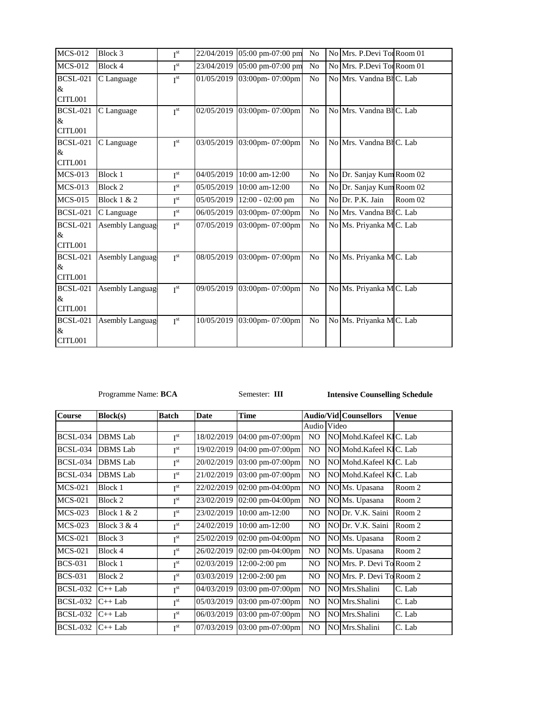| <b>MCS-012</b>                  | Block 3                | I <sup>st</sup> | 22/04/2019 05:00 pm-07:00 pm | No             | No Mrs. P.Devi Tor Room 01 |         |
|---------------------------------|------------------------|-----------------|------------------------------|----------------|----------------------------|---------|
| <b>MCS-012</b>                  | Block 4                | I <sup>st</sup> | 23/04/2019 05:00 pm-07:00 pm | No             | No Mrs. P.Devi Tor Room 01 |         |
| <b>BCSL-021</b><br>&<br>CITL001 | C Language             | I <sup>st</sup> | 01/05/2019 03:00pm- 07:00pm  | N <sub>0</sub> | No Mrs. Vandna BHC. Lab    |         |
| <b>BCSL-021</b><br>&<br>CITL001 | C Language             | I <sup>st</sup> | 02/05/2019 03:00pm-07:00pm   | N <sub>0</sub> | No Mrs. Vandna Bl C. Lab   |         |
| <b>BCSL-021</b><br>&<br>CITL001 | C Language             | I <sup>st</sup> | 03/05/2019 03:00pm-07:00pm   | N <sub>0</sub> | No Mrs. Vandna BHC. Lab    |         |
| <b>MCS-013</b>                  | Block 1                | I <sup>st</sup> | 04/05/2019 10:00 am-12:00    | N <sub>o</sub> | No Dr. Sanjay Kum Room 02  |         |
| <b>MCS-013</b>                  | Block 2                | I <sup>st</sup> | 05/05/2019 10:00 am-12:00    | N <sub>o</sub> | No Dr. Sanjay Kum Room 02  |         |
| <b>MCS-015</b>                  | <b>Block 1 &amp; 2</b> | I <sup>st</sup> | 05/05/2019 12:00 - 02:00 pm  | N <sub>0</sub> | No Dr. P.K. Jain           | Room 02 |
| <b>BCSL-021</b>                 | C Language             | I <sup>st</sup> | 06/05/2019 03:00pm-07:00pm   | N <sub>0</sub> | No Mrs. Vandna Bl C. Lab   |         |
| <b>BCSL-021</b><br>&<br>CITL001 | <b>Asembly Languag</b> | I <sup>st</sup> | 07/05/2019 03:00pm- 07:00pm  | N <sub>0</sub> | No Ms. Priyanka MC. Lab    |         |
| <b>BCSL-021</b><br>&<br>CITL001 | <b>Asembly Languag</b> | I <sup>st</sup> | 08/05/2019 03:00pm-07:00pm   | N <sub>o</sub> | No Ms. Priyanka MC. Lab    |         |
| <b>BCSL-021</b><br>&<br>CITL001 | <b>Asembly Languag</b> | I <sup>st</sup> | 09/05/2019 03:00pm- 07:00pm  | N <sub>0</sub> | No Ms. Priyanka MC. Lab    |         |
| <b>BCSL-021</b><br>&<br>CITL001 | <b>Asembly Languag</b> | I <sup>st</sup> | 10/05/2019 03:00pm-07:00pm   | N <sub>0</sub> | No Ms. Priyanka MC. Lab    |         |

Programme Name: **BCA** Semester: **III Intensive Counselling Schedule** 

| <b>Course</b>   | Block(s)        | <b>Batch</b>    | <b>Date</b> | <b>Time</b>                         |                | <b>Audio/Vid Counsellors</b> | <b>Venue</b> |
|-----------------|-----------------|-----------------|-------------|-------------------------------------|----------------|------------------------------|--------------|
|                 |                 |                 |             |                                     | Audio Video    |                              |              |
| <b>BCSL-034</b> | <b>DBMS</b> Lab | I <sup>st</sup> | 18/02/2019  | 04:00 pm-07:00pm                    | NO             | NO Mohd.Kafeel KIC. Lab      |              |
| BCSL-034        | <b>DBMS</b> Lab | I <sup>st</sup> | 19/02/2019  | 04:00 pm-07:00pm                    | N <sub>O</sub> | NO Mohd.Kafeel KIC. Lab      |              |
| <b>BCSL-034</b> | <b>DBMS</b> Lab | I <sup>st</sup> | 20/02/2019  | 03:00 pm-07:00pm                    | NO             | NO Mohd. Kafeel KIC. Lab     |              |
| <b>BCSL-034</b> | <b>DBMS</b> Lab | I <sup>st</sup> | 21/02/2019  | 03:00 pm-07:00pm                    | NO.            | NO Mohd.Kafeel KIC. Lab      |              |
| <b>MCS-021</b>  | Block 1         | I <sup>st</sup> | 22/02/2019  | 02:00 pm-04:00pm                    | NO.            | NO Ms. Upasana               | Room 2       |
| <b>MCS-021</b>  | Block 2         | I <sup>st</sup> | 23/02/2019  | 02:00 pm-04:00pm                    | NO             | NO Ms. Upasana               | Room 2       |
| <b>MCS-023</b>  | Block $1 & 2$   | I <sup>st</sup> | 23/02/2019  | $10:00$ am- $12:00$                 | NO.            | NO Dr. V.K. Saini            | Room 2       |
| MCS-023         | Block $3 & 4$   | I <sup>st</sup> | 24/02/2019  | $10:00$ am- $12:00$                 | NO.            | NODr. V.K. Saini             | Room 2       |
| MCS-021         | Block 3         | I <sup>st</sup> | 25/02/2019  | $02:00 \text{ pm} -04:00 \text{pm}$ | NO.            | NO Ms. Upasana               | Room 2       |
| <b>MCS-021</b>  | Block 4         | I <sup>st</sup> | 26/02/2019  | $02:00$ pm-04:00pm                  | NO             | NO Ms. Upasana               | Room 2       |
| <b>BCS-031</b>  | Block 1         | I <sup>st</sup> | 02/03/2019  | $12:00-2:00$ pm                     | NO             | NO Mrs. P. Devi To Room 2    |              |
| <b>BCS-031</b>  | Block 2         | I <sup>st</sup> | 03/03/2019  | 12:00-2:00 pm                       | N <sub>O</sub> | NO Mrs. P. Devi To Room 2    |              |
| <b>BCSL-032</b> | $C++$ Lab       | I <sup>st</sup> | 04/03/2019  | 03:00 pm-07:00pm                    | N <sub>O</sub> | NO Mrs. Shalini              | C. Lab       |
| <b>BCSL-032</b> | $C++$ Lab       | I <sup>st</sup> | 05/03/2019  | 03:00 pm-07:00pm                    | NO.            | NO Mrs. Shalini              | C. Lab       |
| <b>BCSL-032</b> | $C++$ Lab       | I <sup>st</sup> | 06/03/2019  | 03:00 pm-07:00pm                    | NO.            | NO Mrs.Shalini               | C. Lab       |
| <b>BCSL-032</b> | $C++$ Lab       | I <sup>st</sup> | 07/03/2019  | 03:00 pm-07:00pm                    | NO             | NO Mrs. Shalini              | C. Lab       |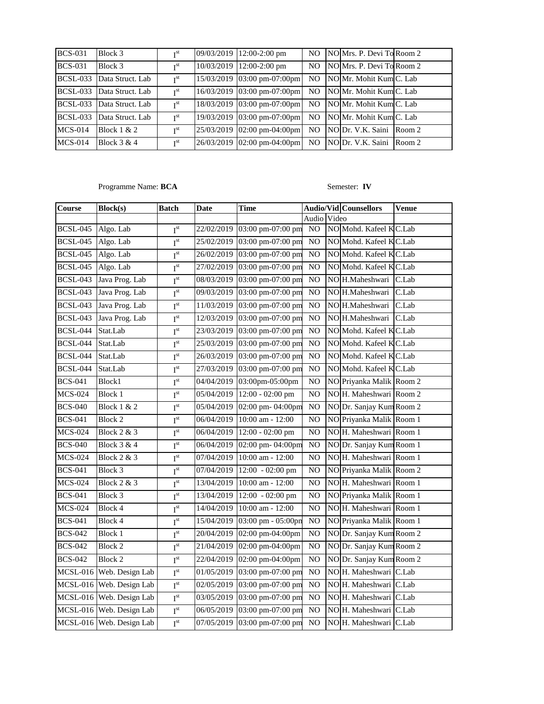| <b>BCS-031</b>  | Block 3                   | T <sub>st</sub>          | 09/03/2019 12:00-2:00 pm    | NO.            | NO Mrs. P. Devi To Room 2 |  |
|-----------------|---------------------------|--------------------------|-----------------------------|----------------|---------------------------|--|
| <b>BCS-031</b>  | Block 3                   | $\mathbf{r}$ st          | 10/03/2019 12:00-2:00 pm    | N <sub>O</sub> | NO Mrs. P. Devi To Room 2 |  |
|                 | BCSL-033 Data Struct. Lab | $\mathbf{T}^{\text{st}}$ | 15/03/2019 03:00 pm-07:00pm | NO.            | NO Mr. Mohit Kum C. Lab   |  |
| <b>BCSL-033</b> | Data Struct. Lab          | I <sup>st</sup>          | 16/03/2019 03:00 pm-07:00pm | NO.            | NO Mr. Mohit Kum C. Lab   |  |
| <b>BCSL-033</b> | Data Struct. Lab          | T <sup>st</sup>          | 18/03/2019 03:00 pm-07:00pm | N <sub>O</sub> | NO Mr. Mohit Kum C. Lab   |  |
| <b>BCSL-033</b> | Data Struct. Lab          | I <sup>st</sup>          | 19/03/2019 03:00 pm-07:00pm | N <sub>O</sub> | NO Mr. Mohit Kum C. Lab   |  |
| $MCS-014$       | Block $1 & 2$             | $\mathbf{r}$ st          | 25/03/2019 02:00 pm-04:00pm | N <sub>O</sub> | NO Dr. V.K. Saini Room 2  |  |
| $MCS-014$       | Block $3 & 4$             | $\mathbf{r}$ st          | 26/03/2019 02:00 pm-04:00pm | N <sub>O</sub> | NODr. V.K. Saini Room 2   |  |

Programme Name: **BCA** Semester: **IV** 

| <b>Course</b>   | <b>Block(s)</b>          | Batch                    | Date       | <b>Time</b>                  |                | <b>Audio/Vid Counsellors</b> | <b>Venue</b> |
|-----------------|--------------------------|--------------------------|------------|------------------------------|----------------|------------------------------|--------------|
|                 |                          |                          |            |                              | Audio Video    |                              |              |
| <b>BCSL-045</b> | Algo. Lab                | $I^{st}$                 |            | 22/02/2019 03:00 pm-07:00 pm | N <sub>O</sub> | NO Mohd. Kafeel KC.Lab       |              |
| <b>BCSL-045</b> | Algo. Lab                | I <sup>st</sup>          | 25/02/2019 | 03:00 pm-07:00 pm            | N <sub>O</sub> | NO Mohd. Kafeel K C.Lab      |              |
| <b>BCSL-045</b> | Algo. Lab                | I <sup>st</sup>          | 26/02/2019 | 03:00 pm-07:00 pm            | N <sub>O</sub> | NO Mohd. Kafeel KC.Lab       |              |
| <b>BCSL-045</b> | Algo. Lab                | I <sup>st</sup>          |            | 27/02/2019 03:00 pm-07:00 pm | NO             | NO Mohd. Kafeel KC.Lab       |              |
| <b>BCSL-043</b> | Java Prog. Lab           | I <sup>st</sup>          | 08/03/2019 | 03:00 pm-07:00 pm            | N <sub>O</sub> | NO H.Maheshwari              | C.Lab        |
| <b>BCSL-043</b> | Java Prog. Lab           | $\mathbf{I}^{\text{st}}$ | 09/03/2019 | 03:00 pm-07:00 pm            | NO             | NO H.Maheshwari              | C.Lab        |
| <b>BCSL-043</b> | Java Prog. Lab           | I <sup>st</sup>          | 11/03/2019 | 03:00 pm-07:00 pm            | N <sub>O</sub> | NO H.Maheshwari              | C.Lab        |
| <b>BCSL-043</b> | Java Prog. Lab           | I <sup>st</sup>          |            | 12/03/2019 03:00 pm-07:00 pm | N <sub>O</sub> | NO H.Maheshwari              | C.Lab        |
| <b>BCSL-044</b> | Stat.Lab                 | $I^{st}$                 | 23/03/2019 | 03:00 pm-07:00 pm            | NO             | NO Mohd. Kafeel KC.Lab       |              |
| <b>BCSL-044</b> | Stat.Lab                 | I <sup>st</sup>          | 25/03/2019 | 03:00 pm-07:00 pm            | N <sub>O</sub> | NO Mohd. Kafeel K C.Lab      |              |
| <b>BCSL-044</b> | Stat.Lab                 | $I^{st}$                 | 26/03/2019 | 03:00 pm-07:00 pm            | N <sub>O</sub> | NO Mohd. Kafeel KC.Lab       |              |
| <b>BCSL-044</b> | Stat.Lab                 | $I^{st}$                 | 27/03/2019 | 03:00 pm-07:00 pm            | NO             | NO Mohd. Kafeel K C.Lab      |              |
| <b>BCS-041</b>  | Block1                   | I <sup>st</sup>          | 04/04/2019 | 03:00pm-05:00pm              | NO             | NO Priyanka Malik Room 2     |              |
| <b>MCS-024</b>  | Block 1                  | $I^{st}$                 | 05/04/2019 | 12:00 - 02:00 pm             | NO             | NO H. Maheshwari Room 2      |              |
| <b>BCS-040</b>  | <b>Block 1 &amp; 2</b>   | I <sup>st</sup>          |            | 05/04/2019 02:00 pm- 04:00pm | NO             | NO Dr. Sanjay Kum Room 2     |              |
| <b>BCS-041</b>  | Block 2                  | $I^{st}$                 | 06/04/2019 | 10:00 am - 12:00             | NO             | NO Priyanka Malik Room 1     |              |
| <b>MCS-024</b>  | <b>Block 2 &amp; 3</b>   | $I^{st}$                 | 06/04/2019 | 12:00 - 02:00 pm             | N <sub>O</sub> | NO H. Maheshwari Room 1      |              |
| <b>BCS-040</b>  | Block $3 & 4$            | I <sup>st</sup>          | 06/04/2019 | 02:00 pm-04:00pm             | N <sub>O</sub> | NO Dr. Sanjay Kum Room 1     |              |
| <b>MCS-024</b>  | <b>Block 2 &amp; 3</b>   | I <sup>st</sup>          | 07/04/2019 | 10:00 am - 12:00             | N <sub>O</sub> | NO H. Maheshwari Room 1      |              |
| <b>BCS-041</b>  | Block 3                  | $I^{st}$                 | 07/04/2019 | 12:00 - 02:00 pm             | NO             | NO Priyanka Malik Room 2     |              |
| <b>MCS-024</b>  | <b>Block 2 &amp; 3</b>   | $I^{st}$                 | 13/04/2019 | 10:00 am - 12:00             | N <sub>O</sub> | NO H. Maheshwari Room 1      |              |
| <b>BCS-041</b>  | Block 3                  | $I^{st}$                 | 13/04/2019 | 12:00 - 02:00 pm             | N <sub>O</sub> | NO Priyanka Malik Room 1     |              |
| <b>MCS-024</b>  | Block 4                  | I <sup>st</sup>          | 14/04/2019 | 10:00 am - 12:00             | NO             | NO H. Maheshwari Room 1      |              |
| <b>BCS-041</b>  | Block 4                  | $I^{st}$                 | 15/04/2019 | 03:00 pm - 05:00pn           | N <sub>O</sub> | NO Priyanka Malik Room 1     |              |
| <b>BCS-042</b>  | Block 1                  | $I^{st}$                 | 20/04/2019 | 02:00 pm-04:00pm             | N <sub>O</sub> | NO Dr. Sanjay Kum Room 2     |              |
| <b>BCS-042</b>  | Block 2                  | I <sup>st</sup>          | 21/04/2019 | 02:00 pm-04:00pm             | N <sub>O</sub> | NO Dr. Sanjay Kum Room 2     |              |
| <b>BCS-042</b>  | <b>Block 2</b>           | $I^{st}$                 | 22/04/2019 | 02:00 pm-04:00pm             | N <sub>O</sub> | NO Dr. Sanjay Kum Room 2     |              |
|                 | MCSL-016 Web. Design Lab | $I^{st}$                 | 01/05/2019 | 03:00 pm-07:00 pm            | N <sub>O</sub> | NO H. Maheshwari C.Lab       |              |
|                 | MCSL-016 Web. Design Lab | I <sup>st</sup>          | 02/05/2019 | 03:00 pm-07:00 pm            | NO             | NO H. Maheshwari C.Lab       |              |
|                 | MCSL-016 Web. Design Lab | $\mathbf{I}^{\text{st}}$ | 03/05/2019 | 03:00 pm-07:00 pm            | NO             | NO H. Maheshwari C.Lab       |              |
|                 | MCSL-016 Web. Design Lab | $I^{st}$                 |            | 06/05/2019 03:00 pm-07:00 pm | N <sub>O</sub> | NO H. Maheshwari C.Lab       |              |
|                 | MCSL-016 Web. Design Lab | I <sup>st</sup>          |            | 07/05/2019 03:00 pm-07:00 pm | N <sub>O</sub> | NO H. Maheshwari C.Lab       |              |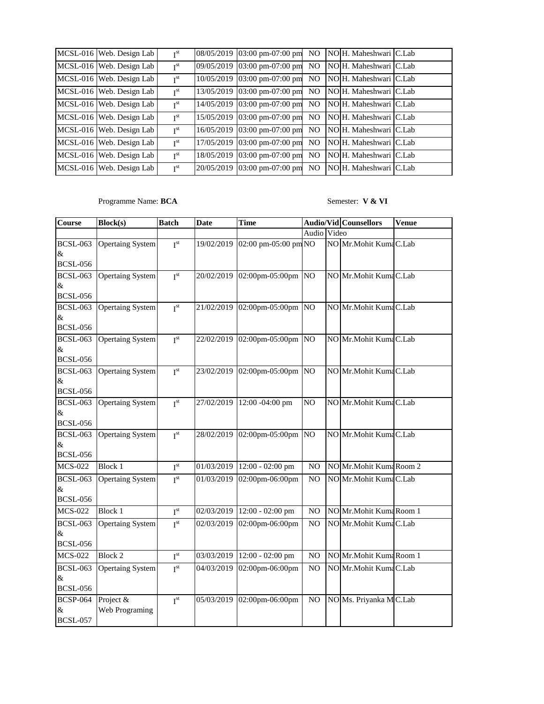| MCSL-016 Web. Design Lab | I <sup>st</sup> | 08/05/2019 03:00 pm-07:00 pm | N <sub>O</sub> | NO H. Maheshwari C.Lab |  |
|--------------------------|-----------------|------------------------------|----------------|------------------------|--|
| MCSL-016 Web. Design Lab | I <sup>st</sup> | 09/05/2019 03:00 pm-07:00 pm | NO.            | NO H. Maheshwari C.Lab |  |
| MCSL-016 Web. Design Lab | I <sup>st</sup> | 10/05/2019 03:00 pm-07:00 pm | NO.            | NO H. Maheshwari C.Lab |  |
| MCSL-016 Web. Design Lab | I <sup>st</sup> | 13/05/2019 03:00 pm-07:00 pm | N <sub>O</sub> | NO H. Maheshwari C.Lab |  |
| MCSL-016 Web. Design Lab | I <sup>st</sup> | 14/05/2019 03:00 pm-07:00 pm | NO.            | NO H. Maheshwari C.Lab |  |
| MCSL-016 Web. Design Lab | T <sup>st</sup> | 15/05/2019 03:00 pm-07:00 pm | NO.            | NO H. Maheshwari C.Lab |  |
| MCSL-016 Web. Design Lab | I <sup>st</sup> | 16/05/2019 03:00 pm-07:00 pm | N <sub>O</sub> | NO H. Maheshwari C.Lab |  |
| MCSL-016 Web. Design Lab | I <sup>st</sup> | 17/05/2019 03:00 pm-07:00 pm | N <sub>O</sub> | NO H. Maheshwari C.Lab |  |
| MCSL-016 Web. Design Lab | I <sup>st</sup> | 18/05/2019 03:00 pm-07:00 pm | NO.            | NO H. Maheshwari C.Lab |  |
| MCSL-016 Web. Design Lab | I <sup>st</sup> | 20/05/2019 03:00 pm-07:00 pm | NO.            | NO H. Maheshwari C.Lab |  |

Programme Name: **BCA** Semester: **V & VI** 

| Course                                     | <b>Block(s)</b>             | <b>Batch</b>           | <b>Date</b> | <b>Time</b>                   | <b>Audio/Vid Counsellors</b> |  |                         | <b>Venue</b> |
|--------------------------------------------|-----------------------------|------------------------|-------------|-------------------------------|------------------------------|--|-------------------------|--------------|
|                                            |                             |                        |             |                               | Audio Video                  |  |                         |              |
| <b>BCSL-063</b><br>$\&$<br><b>BCSL-056</b> | <b>Opertaing System</b>     | I <sup>st</sup>        | 19/02/2019  | 02:00 pm-05:00 pm NO          |                              |  | NO Mr.Mohit Kuma C.Lab  |              |
| <b>BCSL-063</b><br>$\&$<br><b>BCSL-056</b> | <b>Opertaing System</b>     | I <sup>st</sup>        | 20/02/2019  | 02:00pm-05:00pm NO            |                              |  | NO Mr.Mohit Kuma C.Lab  |              |
| <b>BCSL-063</b><br>$\&$<br><b>BCSL-056</b> | <b>Opertaing System</b>     | I <sup>st</sup>        |             | 21/02/2019 02:00pm-05:00pm NO |                              |  | NO Mr.Mohit Kuma C.Lab  |              |
| <b>BCSL-063</b><br>$\&$<br><b>BCSL-056</b> | <b>Opertaing System</b>     | I <sup>st</sup>        |             | 22/02/2019 02:00pm-05:00pm NO |                              |  | NO Mr.Mohit KumaC.Lab   |              |
| <b>BCSL-063</b><br>$\&$<br><b>BCSL-056</b> | <b>Opertaing System</b>     | I <sup>st</sup>        |             | 23/02/2019 02:00pm-05:00pm NO |                              |  | NO Mr.Mohit Kuma C.Lab  |              |
| <b>BCSL-063</b><br>&<br><b>BCSL-056</b>    | <b>Opertaing System</b>     | $I^{st}$               | 27/02/2019  | 12:00 -04:00 pm               | NO                           |  | NO Mr.Mohit Kuma C.Lab  |              |
| <b>BCSL-063</b><br>$\&$<br><b>BCSL-056</b> | <b>Opertaing System</b>     | I <sup>st</sup>        | 28/02/2019  | 02:00pm-05:00pm NO            |                              |  | NO Mr.Mohit Kuma C.Lab  |              |
| <b>MCS-022</b>                             | <b>Block 1</b>              | $I^{st}$               | 01/03/2019  | 12:00 - 02:00 pm              | N <sub>O</sub>               |  | NO Mr.Mohit Kuma Room 2 |              |
| <b>BCSL-063</b><br>$\&$<br><b>BCSL-056</b> | <b>Opertaing System</b>     | I <sup>st</sup>        | 01/03/2019  | 02:00pm-06:00pm               | N <sub>O</sub>               |  | NO Mr.Mohit Kuma C.Lab  |              |
| <b>MCS-022</b>                             | Block 1                     | I <sup>st</sup>        |             | 02/03/2019 12:00 - 02:00 pm   | N <sub>O</sub>               |  | NO Mr.Mohit Kuma Room 1 |              |
| <b>BCSL-063</b><br>&<br><b>BCSL-056</b>    | <b>Opertaing System</b>     | I <sup>st</sup>        | 02/03/2019  | 02:00pm-06:00pm               | N <sub>O</sub>               |  | NO Mr.Mohit Kuma C.Lab  |              |
| <b>MCS-022</b>                             | <b>Block 2</b>              | $\textbf{I}^\text{st}$ | 03/03/2019  | $12:00 - 02:00$ pm            | NO                           |  | NO Mr.Mohit Kuma Room 1 |              |
| <b>BCSL-063</b><br>$\&$<br><b>BCSL-056</b> | <b>Opertaing System</b>     | I <sup>st</sup>        | 04/03/2019  | 02:00pm-06:00pm               | N <sub>O</sub>               |  | NO Mr.Mohit Kuma C.Lab  |              |
| <b>BCSP-064</b><br>&<br><b>BCSL-057</b>    | Project &<br>Web Programing | I <sup>st</sup>        | 05/03/2019  | 02:00pm-06:00pm               | NO                           |  | NO Ms. Priyanka MC.Lab  |              |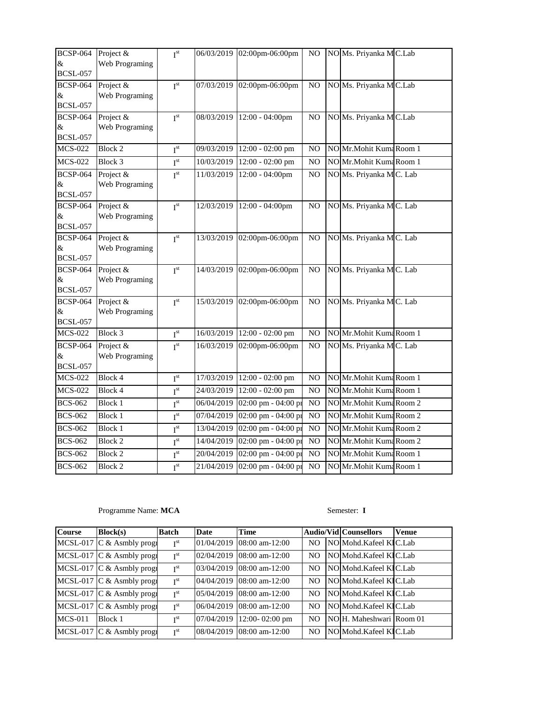| <b>BCSP-064</b><br>&<br><b>BCSL-057</b> | Project &<br>Web Programing | I <sup>st</sup>        |            | 06/03/2019 02:00pm-06:00pm  | NO.            | NO Ms. Priyanka MC.Lab   |  |
|-----------------------------------------|-----------------------------|------------------------|------------|-----------------------------|----------------|--------------------------|--|
| <b>BCSP-064</b><br>&<br><b>BCSL-057</b> | Project &<br>Web Programing | I <sup>st</sup>        | 07/03/2019 | 02:00pm-06:00pm             | NO.            | NO Ms. Priyanka MC.Lab   |  |
| <b>BCSP-064</b><br>&<br><b>BCSL-057</b> | Project &<br>Web Programing | $I^{st}$               | 08/03/2019 | 12:00 - 04:00pm             | $\rm NO$       | NO Ms. Priyanka MC.Lab   |  |
| <b>MCS-022</b>                          | <b>Block 2</b>              | I <sup>st</sup>        | 09/03/2019 | 12:00 - 02:00 pm            | NO             | NO Mr.Mohit Kuma Room 1  |  |
| <b>MCS-022</b>                          | Block 3                     | I <sup>st</sup>        | 10/03/2019 | $12:00 - 02:00$ pm          | NO             | NO Mr.Mohit Kuma Room 1  |  |
| <b>BCSP-064</b><br>&<br><b>BCSL-057</b> | Project &<br>Web Programing | I <sup>st</sup>        | 11/03/2019 | 12:00 - 04:00pm             | N <sub>O</sub> | NO Ms. Priyanka MC. Lab  |  |
| <b>BCSP-064</b><br>&<br><b>BCSL-057</b> | Project &<br>Web Programing | I <sup>st</sup>        |            | 12/03/2019 12:00 - 04:00pm  | NO.            | NO Ms. Priyanka MC. Lab  |  |
| <b>BCSP-064</b><br>&<br><b>BCSL-057</b> | Project &<br>Web Programing | $I^{st}$               | 13/03/2019 | 02:00pm-06:00pm             | NO             | NO Ms. Priyanka MC. Lab  |  |
| <b>BCSP-064</b><br>&<br><b>BCSL-057</b> | Project &<br>Web Programing | I <sup>st</sup>        | 14/03/2019 | 02:00pm-06:00pm             | $_{\rm NO}$    | NO Ms. Priyanka MC. Lab  |  |
| <b>BCSP-064</b><br>&<br><b>BCSL-057</b> | Project &<br>Web Programing | $I^{st}$               | 15/03/2019 | 02:00pm-06:00pm             | NO             | NO Ms. Priyanka MC. Lab  |  |
| <b>MCS-022</b>                          | Block 3                     | $\textbf{I}^\text{st}$ |            | 16/03/2019 12:00 - 02:00 pm | NO             | NO Mr.Mohit Kuma Room 1  |  |
| <b>BCSP-064</b><br>&<br><b>BCSL-057</b> | Project &<br>Web Programing | I <sup>st</sup>        | 16/03/2019 | 02:00pm-06:00pm             | N <sub>O</sub> | NO Ms. Priyanka MC. Lab  |  |
| <b>MCS-022</b>                          | <b>Block 4</b>              | $I^{st}$               | 17/03/2019 | $12:00 - 02:00$ pm          | NO             | NO Mr.Mohit Kuma Room 1  |  |
| <b>MCS-022</b>                          | Block 4                     | $I^{st}$               | 24/03/2019 | 12:00 - 02:00 pm            | N <sub>O</sub> | NO Mr.Mohit Kuma Room 1  |  |
| <b>BCS-062</b>                          | <b>Block 1</b>              | $I^{\text{st}}$        | 06/04/2019 | 02:00 pm - 04:00 pi         | NO             | NO Mr.Mohit Kuma Room 2  |  |
| <b>BCS-062</b>                          | <b>Block 1</b>              | $I^{st}$               | 07/04/2019 | 02:00 pm - 04:00 pr         | NO             | NO Mr. Mohit Kuma Room 2 |  |
| <b>BCS-062</b>                          | <b>Block 1</b>              | I <sup>st</sup>        | 13/04/2019 | 02:00 pm - 04:00 pm         | NO             | NO Mr.Mohit Kuma Room 2  |  |
| <b>BCS-062</b>                          | Block 2                     | $I^{\text{st}}$        | 14/04/2019 | 02:00 pm - 04:00 pm         | NO             | NO Mr.Mohit Kuma Room 2  |  |
| <b>BCS-062</b>                          | <b>Block 2</b>              | $I^{st}$               | 20/04/2019 | 02:00 pm - 04:00 pi         | NO             | NO Mr.Mohit Kuma Room 1  |  |
| <b>BCS-062</b>                          | <b>Block 2</b>              | $I^{\text{st}}$        | 21/04/2019 | 02:00 pm - 04:00 pr         | NO             | NO Mr.Mohit Kuma Room 1  |  |

## Programme Name: **MCA** Semester: **I**

| <b>Course</b> | Block(s)                            | <b>Batch</b>    | <b>Date</b> | <b>Time</b>                 |                | <b>Audio/Vid Counsellors</b> | <b>Venue</b> |
|---------------|-------------------------------------|-----------------|-------------|-----------------------------|----------------|------------------------------|--------------|
|               | MCSL-017 $\mathbb C$ & Asmbly progr | I <sup>st</sup> |             | 01/04/2019 08:00 am-12:00   | NO.            | NO Mohd Kafeel KIC Lab       |              |
|               | MCSL-017 $C &$ Asmbly progr         | I <sup>st</sup> |             | 02/04/2019 08:00 am-12:00   | NO.            | NO Mohd.Kafeel KIC.Lab       |              |
|               | MCSL-017 $C &$ Asmbly progr         | I <sup>st</sup> |             | 03/04/2019 08:00 am-12:00   | NO.            | NO Mohd.Kafeel KIC.Lab       |              |
|               | MCSL-017 $C &$ Asmbly progr         | I <sup>st</sup> |             | 04/04/2019 08:00 am-12:00   | N <sub>O</sub> | NO Mohd.Kafeel KIC.Lab       |              |
|               | MCSL-017 $\vert$ C & Asmbly progr   | $\mathbf{r}$ st |             | 05/04/2019 08:00 am-12:00   | N <sub>O</sub> | NO Mohd. Kafeel KIC. Lab     |              |
|               | MCSL-017 $\vert$ C & Asmbly progr   | I <sup>st</sup> |             | 06/04/2019 08:00 am-12:00   | NO.            | NO Mohd Kafeel KIC Lab       |              |
| $MCS-011$     | Block 1                             | I <sup>st</sup> |             | $07/04/2019$ 12:00-02:00 pm | NO.            | NOH. Maheshwari Room 01      |              |
|               | MCSL-017 $\vert$ C & Asmbly progr   | I <sup>st</sup> |             | 08/04/2019 08:00 am-12:00   | NO.            | NO Mohd Kafeel KIC Lab       |              |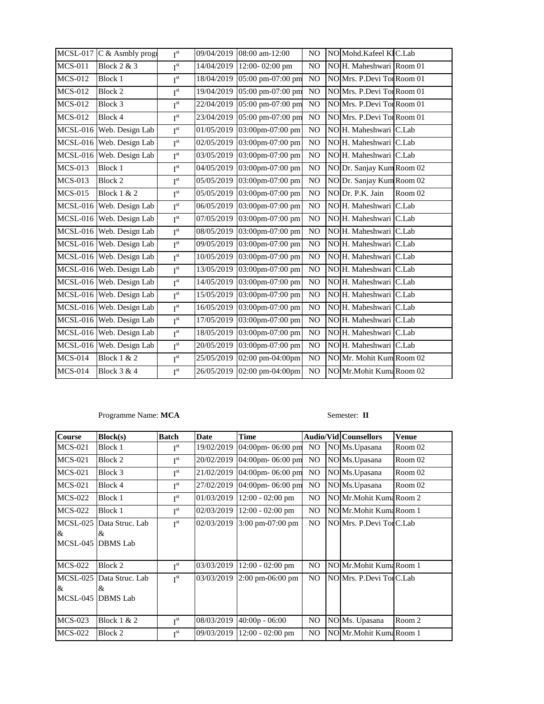|                 | MCSL-017 C & Asmbly progr | I <sup>st</sup> |            | 09/04/2019 08:00 am-12:00    | N <sub>O</sub> | NO Mohd.Kafeel KIC.Lab     |         |
|-----------------|---------------------------|-----------------|------------|------------------------------|----------------|----------------------------|---------|
| <b>MCS-011</b>  | <b>Block 2 &amp; 3</b>    | $I^{st}$        | 14/04/2019 | 12:00-02:00 pm               | N <sub>O</sub> | NO H. Maheshwari Room 01   |         |
| <b>MCS-012</b>  | Block 1                   | $I^{\text{st}}$ |            | 18/04/2019 05:00 pm-07:00 pm | N <sub>O</sub> | NO Mrs. P.Devi Tor Room 01 |         |
| <b>MCS-012</b>  | <b>Block 2</b>            | I <sup>st</sup> |            | 19/04/2019 05:00 pm-07:00 pm | N <sub>O</sub> | NO Mrs. P.Devi Tor Room 01 |         |
| <b>MCS-012</b>  | Block 3                   | $I^{\text{st}}$ |            | 22/04/2019 05:00 pm-07:00 pm | N <sub>O</sub> | NO Mrs. P.Devi Tor Room 01 |         |
| <b>MCS-012</b>  | Block 4                   | $I^{st}$        | 23/04/2019 | 05:00 pm-07:00 pm            | N <sub>O</sub> | NO Mrs. P.Devi Tor Room 01 |         |
| <b>MCSL-016</b> | Web. Design Lab           | I <sup>st</sup> | 01/05/2019 | 03:00pm-07:00 pm             | N <sub>O</sub> | NO H. Maheshwari C.Lab     |         |
|                 | MCSL-016 Web. Design Lab  | $I^{\text{st}}$ | 02/05/2019 | 03:00pm-07:00 pm             | N <sub>O</sub> | NO H. Maheshwari C.Lab     |         |
|                 | MCSL-016 Web. Design Lab  | $I^{st}$        | 03/05/2019 | 03:00pm-07:00 pm             | NO             | NO H. Maheshwari C.Lab     |         |
| <b>MCS-013</b>  | Block 1                   | $I^{\text{st}}$ | 04/05/2019 | 03:00pm-07:00 pm             | N <sub>O</sub> | NO Dr. Sanjay Kum Room 02  |         |
| <b>MCS-013</b>  | Block 2                   | $I^{\text{st}}$ |            | 05/05/2019 03:00pm-07:00 pm  | N <sub>O</sub> | NO Dr. Sanjay Kum Room 02  |         |
| <b>MCS-015</b>  | <b>Block 1 &amp; 2</b>    | I <sup>st</sup> |            | 05/05/2019 03:00pm-07:00 pm  | NO             | NO Dr. P.K. Jain           | Room 02 |
|                 | MCSL-016 Web. Design Lab  | $I^{st}$        | 06/05/2019 | 03:00pm-07:00 pm             | NO             | NO H. Maheshwari C.Lab     |         |
|                 | MCSL-016 Web. Design Lab  | I <sup>st</sup> | 07/05/2019 | 03:00pm-07:00 pm             | N <sub>O</sub> | NO H. Maheshwari C.Lab     |         |
|                 | MCSL-016 Web. Design Lab  | $I^{st}$        | 08/05/2019 | 03:00pm-07:00 pm             | N <sub>O</sub> | NO H. Maheshwari C.Lab     |         |
|                 | MCSL-016 Web. Design Lab  | $I^{st}$        | 09/05/2019 | 03:00pm-07:00 pm             | N <sub>O</sub> | NOH. Maheshwari C.Lab      |         |
|                 | MCSL-016 Web. Design Lab  | $I^{st}$        | 10/05/2019 | 03:00pm-07:00 pm             | N <sub>O</sub> | NO H. Maheshwari C.Lab     |         |
|                 | MCSL-016 Web. Design Lab  | I <sup>st</sup> | 13/05/2019 | 03:00pm-07:00 pm             | N <sub>O</sub> | NO H. Maheshwari C.Lab     |         |
|                 | MCSL-016 Web. Design Lab  | $I^{st}$        | 14/05/2019 | 03:00pm-07:00 pm             | NO             | NO H. Maheshwari C.Lab     |         |
|                 | MCSL-016 Web. Design Lab  | $I^{st}$        | 15/05/2019 | 03:00pm-07:00 pm             | N <sub>O</sub> | NO H. Maheshwari C.Lab     |         |
|                 | MCSL-016 Web. Design Lab  | I <sup>st</sup> | 16/05/2019 | 03:00pm-07:00 pm             | N <sub>O</sub> | NO H. Maheshwari C.Lab     |         |
|                 | MCSL-016 Web. Design Lab  | $I^{st}$        | 17/05/2019 | 03:00pm-07:00 pm             | N <sub>O</sub> | NO H. Maheshwari C.Lab     |         |
|                 | MCSL-016 Web. Design Lab  | $I^{st}$        | 18/05/2019 | 03:00pm-07:00 pm             | N <sub>O</sub> | NO H. Maheshwari C.Lab     |         |
|                 | MCSL-016 Web. Design Lab  | $I^{st}$        | 20/05/2019 | 03:00pm-07:00 pm             | N <sub>O</sub> | NO H. Maheshwari C.Lab     |         |
| <b>MCS-014</b>  | <b>Block 1 &amp; 2</b>    | I <sup>st</sup> | 25/05/2019 | 02:00 pm-04:00pm             | N <sub>O</sub> | NO Mr. Mohit Kum Room 02   |         |
| <b>MCS-014</b>  | <b>Block 3 &amp; 4</b>    | $I^{st}$        |            | 26/05/2019 02:00 pm-04:00pm  | N <sub>O</sub> | NO Mr.Mohit Kuma Room 02   |         |

### Programme Name: MCA Semester: **II**

| <b>Course</b>           | Block(s)                                           | <b>Batch</b>    | <b>Date</b> | <b>Time</b>                         |                | Audio/Vid Counsellors    | <b>Venue</b> |
|-------------------------|----------------------------------------------------|-----------------|-------------|-------------------------------------|----------------|--------------------------|--------------|
| <b>MCS-021</b>          | Block 1                                            | I <sup>st</sup> | 19/02/2019  | 04:00pm- $06:00$ pm                 | N <sub>O</sub> | NO Ms. Upasana           | Room 02      |
| $MCS-021$               | Block 2                                            | I <sup>st</sup> | 20/02/2019  | 04:00pm-06:00 pm                    | NO.            | NO Ms. Upasana           | Room 02      |
| $MCS-021$               | Block 3                                            | I <sup>st</sup> | 21/02/2019  | 04:00pm-06:00 pm                    | N <sub>O</sub> | NO Ms.Upasana            | Room 02      |
| <b>MCS-021</b>          | Block 4                                            | I <sup>st</sup> | 27/02/2019  | 04:00pm-06:00 pm                    | NO.            | NO Ms. Upasana           | Room 02      |
| <b>MCS-022</b>          | Block 1                                            | I <sup>st</sup> | 01/03/2019  | $12:00 - 02:00$ pm                  | N <sub>O</sub> | NO Mr. Mohit Kuma Room 2 |              |
| $MCS-022$               | Block 1                                            | I <sup>st</sup> | 02/03/2019  | $12:00 - 02:00$ pm                  | NO.            | NO Mr. Mohit Kuma Room 1 |              |
| &                       | MCSL-025 Data Struc. Lab<br>&<br>MCSL-045 DBMS Lab | I <sup>st</sup> | 02/03/2019  | 3:00 pm-07:00 pm                    | N <sub>O</sub> | NO Mrs. P.Devi Tor C.Lab |              |
| <b>MCS-022</b>          | Block 2                                            | I <sup>st</sup> | 03/03/2019  | $12:00 - 02:00$ pm                  | N <sub>O</sub> | NO Mr. Mohit Kuma Room 1 |              |
| $\&$<br><b>MCSL-045</b> | MCSL-025 Data Struc. Lab<br>&<br><b>DBMS</b> Lab   | I <sup>st</sup> | 03/03/2019  | $2:00 \text{ pm} -06:00 \text{ pm}$ | N <sub>O</sub> | NO Mrs. P.Devi Tor C.Lab |              |
| <b>MCS-023</b>          | Block $1 & 2$                                      | I <sup>st</sup> | 08/03/2019  | $40:00p - 06:00$                    | N <sub>O</sub> | NO Ms. Upasana           | Room 2       |
| $MCS-022$               | Block 2                                            | I <sup>st</sup> | 09/03/2019  | $12:00 - 02:00$ pm                  | N <sub>O</sub> | NO Mr. Mohit Kuma Room 1 |              |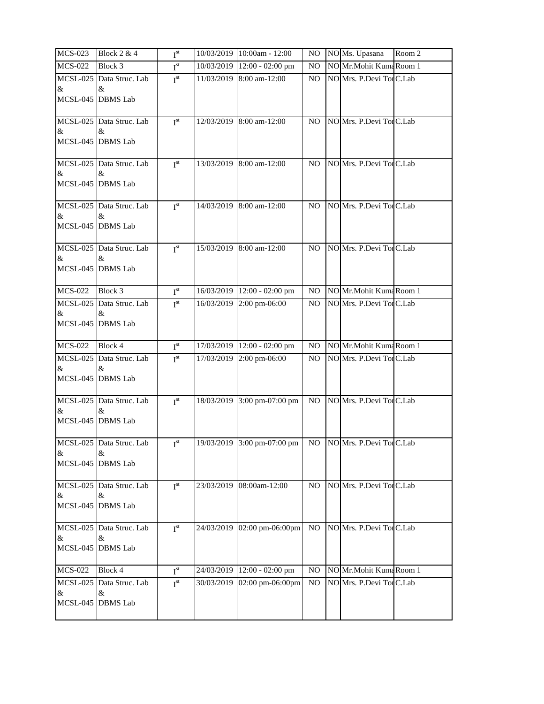| <b>MCS-023</b>            | <b>Block 2 &amp; 4</b>           | I <sup>st</sup> | 10/03/2019 10:00am - 12:00                             | NO.            | NO Ms. Upasana           | Room 2 |
|---------------------------|----------------------------------|-----------------|--------------------------------------------------------|----------------|--------------------------|--------|
| <b>MCS-022</b>            | Block 3                          | I <sup>st</sup> | 10/03/2019 12:00 - 02:00 pm                            | NO             | NO Mr.Mohit Kuma Room 1  |        |
| $\&$<br>MCSL-045 DBMS Lab | MCSL-025 Data Struc. Lab<br>&    | I <sup>st</sup> | 11/03/2019 8:00 am-12:00                               | N <sub>O</sub> | NO Mrs. P.Devi TorC.Lab  |        |
| &<br>MCSL-045 DBMS Lab    | MCSL-025 Data Struc. Lab<br>&    | I <sup>st</sup> | 12/03/2019 8:00 am-12:00                               | NO.            | NO Mrs. P.Devi Tor C.Lab |        |
| $\&$<br>MCSL-045 DBMS Lab | MCSL-025 Data Struc. Lab<br>&    | I <sup>st</sup> | 13/03/2019 8:00 am-12:00                               | NO.            | NO Mrs. P.Devi Tor C.Lab |        |
| &<br>MCSL-045 DBMS Lab    | MCSL-025 Data Struc. Lab<br>&    | I <sup>st</sup> | 14/03/2019 8:00 am-12:00                               | NO.            | NO Mrs. P.Devi Tor C.Lab |        |
| &<br>MCSL-045 DBMS Lab    | MCSL-025 Data Struc. Lab<br>&    | I <sup>st</sup> | 15/03/2019 8:00 am-12:00                               | NO.            | NO Mrs. P.Devi TorC.Lab  |        |
| <b>MCS-022</b>            | Block 3                          | $I^{st}$        | 16/03/2019 12:00 - 02:00 pm                            | NO.            | NO Mr.Mohit Kuma Room 1  |        |
| &<br>MCSL-045 DBMS Lab    | MCSL-025 Data Struc. Lab<br>&    | I <sup>st</sup> | 16/03/2019 2:00 pm-06:00                               | N <sub>O</sub> | NO Mrs. P.Devi TorC.Lab  |        |
| <b>MCS-022</b>            | Block 4                          | I <sup>st</sup> | 17/03/2019 12:00 - 02:00 pm                            | NO.            | NO Mr.Mohit Kuma Room 1  |        |
| $\&$<br>MCSL-045 DBMS Lab | MCSL-025 Data Struc. Lab<br>&    | I <sup>st</sup> | 17/03/2019 2:00 pm-06:00                               | NO.            | NO Mrs. P.Devi Tor C.Lab |        |
| $\&$<br>MCSL-045 DBMS Lab | MCSL-025 Data Struc. Lab<br>&    | I <sup>st</sup> | 18/03/2019 3:00 pm-07:00 pm                            | NO.            | NO Mrs. P.Devi TorC.Lab  |        |
| $\&$<br>MCSL-045 DBMS Lab | MCSL-025 Data Struc. Lab<br>$\&$ | I <sub>st</sub> | 19/03/2019 3:00 pm-07:00 pm NO NO Mrs. P.Devi TorC.Lab |                |                          |        |
| &<br>MCSL-045 DBMS Lab    | MCSL-025 Data Struc. Lab<br>&    | I <sup>st</sup> | 23/03/2019 08:00am-12:00                               | NO.            | NO Mrs. P.Devi Tor C.Lab |        |
| &<br>MCSL-045 DBMS Lab    | MCSL-025 Data Struc. Lab<br>&    | I <sup>st</sup> | 24/03/2019 02:00 pm-06:00pm                            | NO             | NO Mrs. P.Devi Tor C.Lab |        |
| <b>MCS-022</b>            | Block 4                          | I <sup>st</sup> | 24/03/2019 12:00 - 02:00 pm                            | NO.            | NO Mr.Mohit Kuma Room 1  |        |
| &<br>MCSL-045 DBMS Lab    | MCSL-025 Data Struc. Lab<br>&    | I <sup>st</sup> | 30/03/2019 02:00 pm-06:00pm                            | NO.            | NO Mrs. P.Devi Tor C.Lab |        |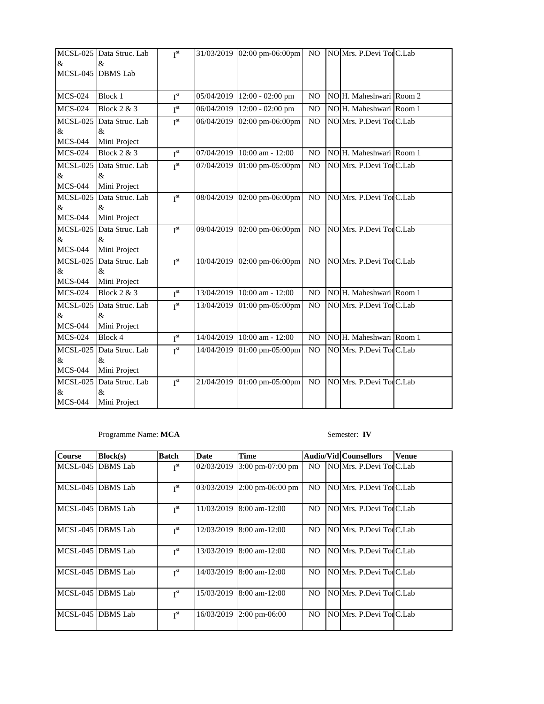|                 | MCSL-025 Data Struc. Lab | I <sup>st</sup> |            | 31/03/2019 02:00 pm-06:00pm | NO.            | NO Mrs. P.Devi Tor C.Lab |  |
|-----------------|--------------------------|-----------------|------------|-----------------------------|----------------|--------------------------|--|
| &               | &                        |                 |            |                             |                |                          |  |
|                 | MCSL-045 DBMS Lab        |                 |            |                             |                |                          |  |
|                 |                          |                 |            |                             |                |                          |  |
| <b>MCS-024</b>  | <b>Block 1</b>           | I <sup>st</sup> | 05/04/2019 | 12:00 - 02:00 pm            | N <sub>O</sub> | NO H. Maheshwari Room 2  |  |
| <b>MCS-024</b>  | <b>Block 2 &amp; 3</b>   | $I^{st}$        | 06/04/2019 | $12:00 - 02:00$ pm          | N <sub>O</sub> | NO H. Maheshwari Room 1  |  |
|                 | MCSL-025 Data Struc. Lab | I <sup>st</sup> | 06/04/2019 | 02:00 pm-06:00pm            | N <sub>O</sub> | NO Mrs. P.Devi TorC.Lab  |  |
| &               | &                        |                 |            |                             |                |                          |  |
| <b>MCS-044</b>  | Mini Project             |                 |            |                             |                |                          |  |
| <b>MCS-024</b>  | <b>Block 2 &amp; 3</b>   | $I^{st}$        | 07/04/2019 | 10:00 am - $12:00$          | NO             | NO H. Maheshwari Room 1  |  |
|                 | MCSL-025 Data Struc. Lab | I <sup>st</sup> |            | 07/04/2019 01:00 pm-05:00pm | N <sub>O</sub> | NO Mrs. P.Devi Tor C.Lab |  |
| &               | $\&$                     |                 |            |                             |                |                          |  |
| <b>MCS-044</b>  | Mini Project             |                 |            |                             |                |                          |  |
|                 | MCSL-025 Data Struc. Lab | I <sup>st</sup> |            | 08/04/2019 02:00 pm-06:00pm | NO             | NO Mrs. P.Devi TorC.Lab  |  |
| &               | &                        |                 |            |                             |                |                          |  |
| <b>MCS-044</b>  | Mini Project             |                 |            |                             |                |                          |  |
|                 | MCSL-025 Data Struc. Lab | I <sup>st</sup> |            | 09/04/2019 02:00 pm-06:00pm | N <sub>O</sub> | NO Mrs. P.Devi Tor C.Lab |  |
| &               | &                        |                 |            |                             |                |                          |  |
| <b>MCS-044</b>  | Mini Project             |                 |            |                             |                |                          |  |
| <b>MCSL-025</b> | Data Struc. Lab          | I <sup>st</sup> |            | 10/04/2019 02:00 pm-06:00pm | N <sub>O</sub> | NO Mrs. P.Devi Tor C.Lab |  |
| &               | $\&$                     |                 |            |                             |                |                          |  |
| <b>MCS-044</b>  | Mini Project             |                 |            |                             |                |                          |  |
| <b>MCS-024</b>  | Block $2 & 3$            | I <sup>st</sup> |            | 13/04/2019 10:00 am - 12:00 | NO             | NO H. Maheshwari Room 1  |  |
|                 | MCSL-025 Data Struc. Lab | I <sup>st</sup> |            | 13/04/2019 01:00 pm-05:00pm | NO             | NO Mrs. P.Devi TorC.Lab  |  |
| &               | $\&$                     |                 |            |                             |                |                          |  |
| <b>MCS-044</b>  | Mini Project             |                 |            |                             |                |                          |  |
| <b>MCS-024</b>  | Block 4                  | $I^{st}$        |            | 14/04/2019 10:00 am - 12:00 | N <sub>O</sub> | NO H. Maheshwari Room 1  |  |
|                 | MCSL-025 Data Struc. Lab | I <sup>st</sup> |            | 14/04/2019 01:00 pm-05:00pm | NO             | NO Mrs. P.Devi Tor C.Lab |  |
| &               | $\&$                     |                 |            |                             |                |                          |  |
| <b>MCS-044</b>  | Mini Project             |                 |            |                             |                |                          |  |
|                 | MCSL-025 Data Struc. Lab | I <sup>st</sup> |            | 21/04/2019 01:00 pm-05:00pm | NO             | NO Mrs. P.Devi Tor C.Lab |  |
| &               | $\&$                     |                 |            |                             |                |                          |  |
| <b>MCS-044</b>  | Mini Project             |                 |            |                             |                |                          |  |

## Programme Name: **MCA** Semester: **IV**

| <b>Course</b> | Block(s)                  | <b>Batch</b>    | <b>Date</b> | <b>Time</b>                   |                | <b>Audio/Vid Counsellors</b> | <b>Venue</b> |
|---------------|---------------------------|-----------------|-------------|-------------------------------|----------------|------------------------------|--------------|
|               | MCSL-045 <b>IDBMS</b> Lab | I <sup>st</sup> | 02/03/2019  | 3:00 pm-07:00 pm              | NO.            | NO Mrs. P.Devi Tor C.Lab     |              |
|               | MCSL-045 <b>IDBMS</b> Lab | I <sup>st</sup> |             | $03/03/2019$ 2:00 pm-06:00 pm | NO.            | NO Mrs. P.Devi TorC.Lab      |              |
|               | MCSL-045  DBMS Lab        | I <sup>st</sup> |             | 11/03/2019 8:00 am-12:00      | NO.            | NOMrs. P.Devi TorC.Lab       |              |
|               | MCSL-045  DBMS Lab        | I <sup>st</sup> |             | 12/03/2019 8:00 am-12:00      | NO.            | NO Mrs. P.Devi Tor C.Lab     |              |
|               | MCSL-045 <b>IDBMS</b> Lab | I <sup>st</sup> |             | 13/03/2019 8:00 am-12:00      | NO.            | NO Mrs. P. Devi Tor C. Lab   |              |
|               | MCSL-045  DBMS Lab        | I <sup>st</sup> |             | 14/03/2019 8:00 am-12:00      | NO.            | NO Mrs. P.Devi TorC.Lab      |              |
|               | MCSL-045  DBMS Lab        | I <sup>st</sup> |             | 15/03/2019 8:00 am-12:00      | N <sub>O</sub> | NO Mrs. P.Devi TorC.Lab      |              |
|               | MCSL-045  DBMS Lab        | I <sup>st</sup> |             | 16/03/2019 2:00 pm-06:00      | NO.            | NO Mrs. P. Devi Tor C. Lab   |              |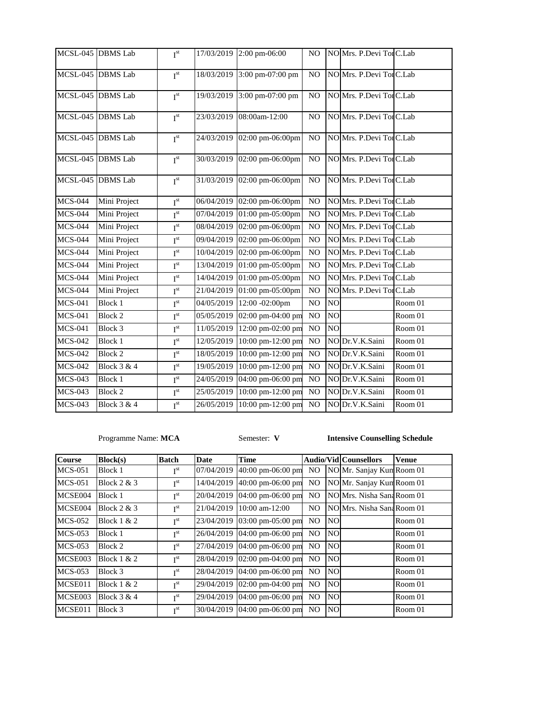|                              | MCSL-045 DBMS Lab | I <sup>st</sup> |                     | 17/03/2019 2:00 pm-06:00    | N <sub>O</sub> |                | NO Mrs. P.Devi TorC.Lab  |         |
|------------------------------|-------------------|-----------------|---------------------|-----------------------------|----------------|----------------|--------------------------|---------|
|                              | MCSL-045 DBMS Lab | $I^{st}$        |                     | 18/03/2019 3:00 pm-07:00 pm | N <sub>O</sub> |                | NO Mrs. P.Devi Tor C.Lab |         |
|                              | MCSL-045 DBMS Lab | I <sup>st</sup> | 19/03/2019          | 3:00 pm-07:00 pm            | N <sub>O</sub> |                | NO Mrs. P.Devi Tor C.Lab |         |
|                              | MCSL-045 DBMS Lab | $I^{st}$        | 23/03/2019          | 08:00am-12:00               | N <sub>O</sub> |                | NO Mrs. P.Devi Tor C.Lab |         |
|                              | MCSL-045 DBMS Lab | $I^{st}$        | 24/03/2019          | 02:00 pm-06:00pm            | N <sub>O</sub> |                | NO Mrs. P.Devi TorC.Lab  |         |
|                              | MCSL-045 DBMS Lab | I <sup>st</sup> | 30/03/2019          | 02:00 pm-06:00pm            | N <sub>O</sub> |                | NO Mrs. P.Devi Tor C.Lab |         |
|                              | MCSL-045 DBMS Lab | $I^{st}$        | 31/03/2019          | 02:00 pm-06:00pm            | NO             |                | NO Mrs. P.Devi Tor C.Lab |         |
| <b>MCS-044</b>               | Mini Project      | I <sup>st</sup> |                     | 06/04/2019 02:00 pm-06:00pm | NO             |                | NO Mrs. P.Devi Tor C.Lab |         |
| <b>MCS-044</b>               | Mini Project      | $I^{\text{st}}$ | 07/04/2019          | 01:00 pm-05:00pm            | NO             |                | NO Mrs. P.Devi Tor C.Lab |         |
| <b>MCS-044</b>               | Mini Project      | $I^{st}$        | 08/04/2019          | 02:00 pm-06:00pm            | N <sub>O</sub> |                | NO Mrs. P.Devi Tor C.Lab |         |
| <b>MCS-044</b>               | Mini Project      | $I^{st}$        | 09/04/2019          | 02:00 pm-06:00pm            | N <sub>O</sub> |                | NO Mrs. P.Devi Tor C.Lab |         |
| <b>MCS-044</b>               | Mini Project      | I <sup>st</sup> | 10/04/2019          | 02:00 pm-06:00pm            | N <sub>O</sub> |                | NO Mrs. P.Devi Tor C.Lab |         |
| $\overline{\text{MCS}}$ -044 | Mini Project      | $I^{st}$        | 13/04/2019          | 01:00 pm-05:00pm            | N <sub>O</sub> |                | NO Mrs. P.Devi Tor C.Lab |         |
| <b>MCS-044</b>               | Mini Project      | $I^{st}$        | 14/04/2019          | 01:00 pm-05:00pm            | N <sub>O</sub> |                | NO Mrs. P.Devi TorC.Lab  |         |
| <b>MCS-044</b>               | Mini Project      | $I^{st}$        | 21/04/2019          | 01:00 pm-05:00pm            | N <sub>O</sub> |                | NO Mrs. P.Devi Tor C.Lab |         |
| <b>MCS-041</b>               | <b>Block 1</b>    | $I^{st}$        | $\sqrt{04}/05/2019$ | 12:00 -02:00pm              | N <sub>O</sub> | N <sub>O</sub> |                          | Room 01 |
| $\overline{\text{MCS-0}}$ 41 | <b>Block 2</b>    | $I^{st}$        | 05/05/2019          | 02:00 pm-04:00 pm           | N <sub>O</sub> | N <sub>O</sub> |                          | Room 01 |
| <b>MCS-041</b>               | Block 3           | I <sup>st</sup> | 11/05/2019          | 12:00 pm-02:00 pm           | N <sub>O</sub> | NO             |                          | Room 01 |
| <b>MCS-042</b>               | <b>Block 1</b>    | $I^{\text{st}}$ | 12/05/2019          | 10:00 pm-12:00 pm           | N <sub>O</sub> |                | NO Dr.V.K.Saini          | Room 01 |
| <b>MCS-042</b>               | <b>Block 2</b>    | $I^{st}$        | 18/05/2019          | 10:00 pm-12:00 pm           | N <sub>O</sub> |                | NO Dr.V.K.Saini          | Room 01 |
| <b>MCS-042</b>               | Block 3 & 4       | $I^{st}$        | 19/05/2019          | 10:00 pm-12:00 pm           | N <sub>O</sub> |                | NO Dr.V.K.Saini          | Room 01 |
| <b>MCS-043</b>               | <b>Block 1</b>    | $I^{st}$        | 24/05/2019          | 04:00 pm-06:00 pm           | N <sub>O</sub> |                | NO Dr.V.K.Saini          | Room 01 |
| <b>MCS-043</b>               | <b>Block 2</b>    | I <sup>st</sup> | 25/05/2019          | 10:00 pm-12:00 pm           | NO             |                | NO Dr.V.K.Saini          | Room 01 |
| <b>MCS-043</b>               | Block 3 & 4       | $I^{st}$        | 26/05/2019          | 10:00 pm-12:00 pm           | NO             |                | NO Dr.V.K.Saini          | Room 01 |

Programme Name: **MCA** Semester: **V Intensive Counselling Schedule**

| <b>Course</b> | Block(s)      | <b>Batch</b>    | Date       | <b>Time</b>                          |                |           | <b>Audio/Vid Counsellors</b> | Venue   |
|---------------|---------------|-----------------|------------|--------------------------------------|----------------|-----------|------------------------------|---------|
| $MCS-051$     | Block 1       | I <sup>st</sup> | 07/04/2019 | $40:00 \text{ pm} -06:00 \text{ pm}$ | NO             |           | NO Mr. Sanjay Kun Room 01    |         |
| $MCS-051$     | Block $2 & 3$ | I <sup>st</sup> | 14/04/2019 | 40:00 pm-06:00 pm                    | NO.            |           | NO Mr. Sanjay Kun Room 01    |         |
| MCSE004       | Block 1       | I <sup>st</sup> | 20/04/2019 | 04:00 pm-06:00 pm                    | NO             |           | NO Mrs. Nisha Sana Room 01   |         |
| MCSE004       | Block $2 & 3$ | I <sup>st</sup> | 21/04/2019 | $10:00$ am- $12:00$                  | N <sub>O</sub> |           | NO Mrs. Nisha Sana Room 01   |         |
| $MCS-052$     | Block $1 & 2$ | I <sup>st</sup> |            | 23/04/2019 03:00 pm-05:00 pm         | N <sub>O</sub> | <b>NO</b> |                              | Room 01 |
| $MCS-053$     | Block 1       | I <sup>st</sup> | 26/04/2019 | $04:00 \text{ pm} -06:00 \text{ pm}$ | N <sub>O</sub> | <b>NO</b> |                              | Room 01 |
| $MCS-053$     | Block 2       | I <sup>st</sup> | 27/04/2019 | 04:00 pm-06:00 pm                    | NO.            | <b>NO</b> |                              | Room 01 |
| MCSE003       | Block $1 & 2$ | I <sup>st</sup> |            | 28/04/2019 02:00 pm-04:00 pm         | NO.            | <b>NO</b> |                              | Room 01 |
| $MCS-053$     | Block 3       | I <sup>st</sup> |            | 28/04/2019 04:00 pm-06:00 pm         | NO.            | <b>NO</b> |                              | Room 01 |
| MCSE011       | Block $1 & 2$ | I <sup>st</sup> | 29/04/2019 | 02:00 pm-04:00 pm                    | NO.            | <b>NO</b> |                              | Room 01 |
| MCSE003       | Block $3 & 4$ | I <sup>st</sup> |            | 29/04/2019 04:00 pm-06:00 pm         | N <sub>O</sub> | <b>NO</b> |                              | Room 01 |
| MCSE011       | Block 3       | I <sup>st</sup> |            | 30/04/2019 04:00 pm-06:00 pm         | NO.            | <b>NO</b> |                              | Room 01 |